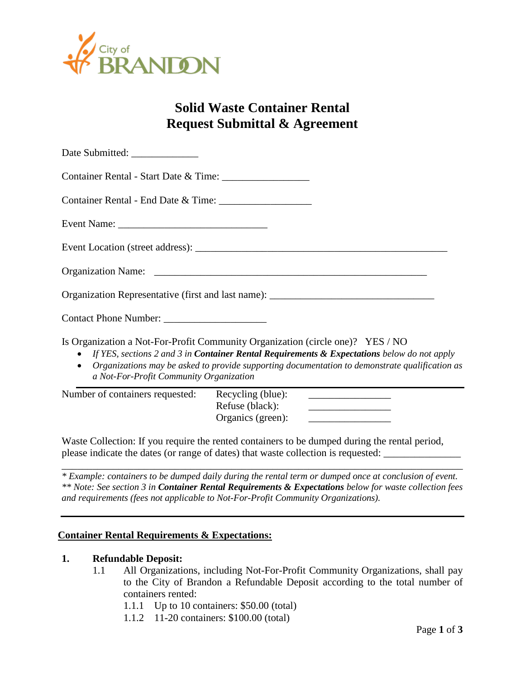

# **Solid Waste Container Rental Request Submittal & Agreement**

| Date Submitted: ______________                                                                                                                                                                                                                                                                                                 |
|--------------------------------------------------------------------------------------------------------------------------------------------------------------------------------------------------------------------------------------------------------------------------------------------------------------------------------|
|                                                                                                                                                                                                                                                                                                                                |
|                                                                                                                                                                                                                                                                                                                                |
|                                                                                                                                                                                                                                                                                                                                |
|                                                                                                                                                                                                                                                                                                                                |
|                                                                                                                                                                                                                                                                                                                                |
| Organization Representative (first and last name): ______________________________                                                                                                                                                                                                                                              |
|                                                                                                                                                                                                                                                                                                                                |
| Is Organization a Not-For-Profit Community Organization (circle one)? YES / NO<br>• If YES, sections 2 and 3 in Container Rental Requirements & Expectations below do not apply<br>• Organizations may be asked to provide supporting documentation to demonstrate qualification as<br>a Not-For-Profit Community Organization |

Number of containers requested: Recycling (blue):

Refuse (black): Organics (green):

Waste Collection: If you require the rented containers to be dumped during the rental period, please indicate the dates (or range of dates) that waste collection is requested: \_\_\_\_\_\_\_\_\_\_\_\_\_\_\_

\_\_\_\_\_\_\_\_\_\_\_\_\_\_\_\_\_\_\_\_\_\_\_\_\_\_\_\_\_\_\_\_\_\_\_\_\_\_\_\_\_\_\_\_\_\_\_\_\_\_\_\_\_\_\_\_\_\_\_\_\_\_\_\_\_\_\_\_\_\_\_\_\_\_\_\_\_\_ *\* Example: containers to be dumped daily during the rental term or dumped once at conclusion of event. \*\* Note: See section 3 in Container Rental Requirements & Expectations below for waste collection fees and requirements (fees not applicable to Not-For-Profit Community Organizations).*

### **Container Rental Requirements & Expectations:**

#### **1. Refundable Deposit:**

- 1.1 All Organizations, including Not-For-Profit Community Organizations, shall pay to the City of Brandon a Refundable Deposit according to the total number of containers rented:
	- 1.1.1 Up to 10 containers: \$50.00 (total)
	- 1.1.2 11-20 containers: \$100.00 (total)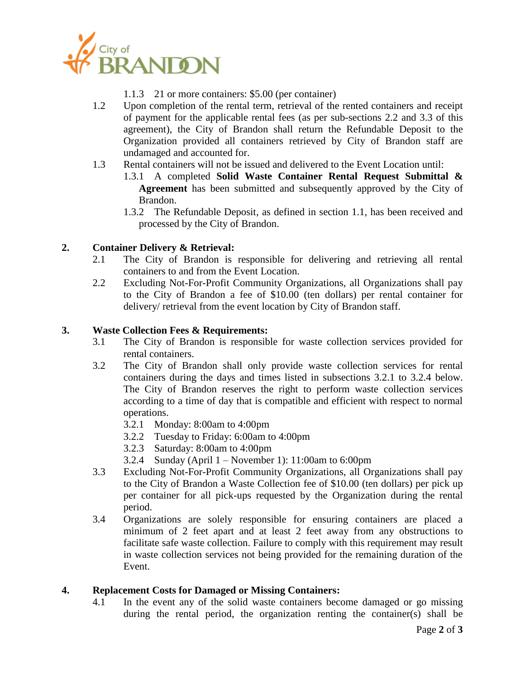

- 1.1.3 21 or more containers: \$5.00 (per container)
- 1.2 Upon completion of the rental term, retrieval of the rented containers and receipt of payment for the applicable rental fees (as per sub-sections 2.2 and 3.3 of this agreement), the City of Brandon shall return the Refundable Deposit to the Organization provided all containers retrieved by City of Brandon staff are undamaged and accounted for.
- 1.3 Rental containers will not be issued and delivered to the Event Location until:
	- 1.3.1 A completed **Solid Waste Container Rental Request Submittal & Agreement** has been submitted and subsequently approved by the City of Brandon.
	- 1.3.2 The Refundable Deposit, as defined in section 1.1, has been received and processed by the City of Brandon.

## **2. Container Delivery & Retrieval:**

- 2.1 The City of Brandon is responsible for delivering and retrieving all rental containers to and from the Event Location.
- 2.2 Excluding Not-For-Profit Community Organizations, all Organizations shall pay to the City of Brandon a fee of \$10.00 (ten dollars) per rental container for delivery/ retrieval from the event location by City of Brandon staff.

### **3. Waste Collection Fees & Requirements:**

- 3.1 The City of Brandon is responsible for waste collection services provided for rental containers.
- 3.2 The City of Brandon shall only provide waste collection services for rental containers during the days and times listed in subsections 3.2.1 to 3.2.4 below. The City of Brandon reserves the right to perform waste collection services according to a time of day that is compatible and efficient with respect to normal operations.
	- 3.2.1 Monday: 8:00am to 4:00pm
	- 3.2.2 Tuesday to Friday: 6:00am to 4:00pm
	- 3.2.3 Saturday: 8:00am to 4:00pm
	- 3.2.4 Sunday (April 1 November 1): 11:00am to 6:00pm
- 3.3 Excluding Not-For-Profit Community Organizations, all Organizations shall pay to the City of Brandon a Waste Collection fee of \$10.00 (ten dollars) per pick up per container for all pick-ups requested by the Organization during the rental period.
- 3.4 Organizations are solely responsible for ensuring containers are placed a minimum of 2 feet apart and at least 2 feet away from any obstructions to facilitate safe waste collection. Failure to comply with this requirement may result in waste collection services not being provided for the remaining duration of the Event.

### **4. Replacement Costs for Damaged or Missing Containers:**

4.1 In the event any of the solid waste containers become damaged or go missing during the rental period, the organization renting the container(s) shall be